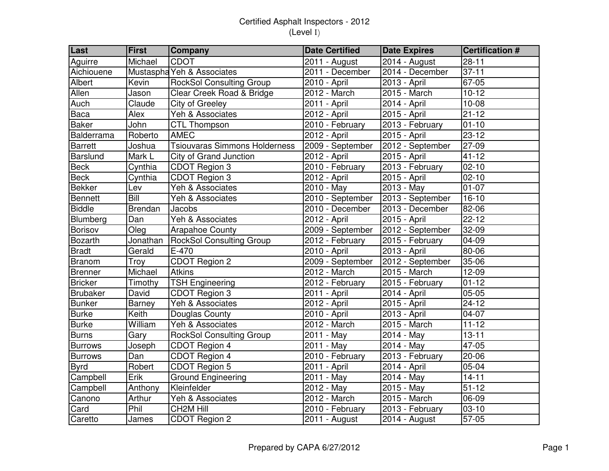| Last            | <b>First</b>   | <b>Company</b>                       | <b>Date Certified</b> | <b>Date Expires</b>       | <b>Certification #</b> |
|-----------------|----------------|--------------------------------------|-----------------------|---------------------------|------------------------|
| Aguirre         | Michael        | <b>CDOT</b>                          | 2011 - August         | 2014 - August             | $28 - 11$              |
| Aichiouene      |                | Mustaspha Yeh & Associates           | 2011 - December       | 2014 - December           | $37 - 11$              |
| Albert          | Kevin          | <b>RockSol Consulting Group</b>      | 2010 - April          | 2013 - April              | 67-05                  |
| Allen           | Jason          | Clear Creek Road & Bridge            | 2012 - March          | 2015 - March              | $10 - 12$              |
| Auch            | Claude         | City of Greeley                      | 2011 - April          | 2014 - April              | $10 - 08$              |
| Baca            | Alex           | Yeh & Associates                     | 2012 - April          | 2015 - April              | $21 - 12$              |
| <b>Baker</b>    | John           | CTL Thompson                         | 2010 - February       | 2013 - February           | $01 - 10$              |
| Balderrama      | Roberto        | <b>AMEC</b>                          | 2012 - April          | 2015 - April              | $23 - 12$              |
| Barrett         | Joshua         | <b>Tsiouvaras Simmons Holderness</b> | 2009 - September      | 2012 - September          | 27-09                  |
| Barslund        | Mark L         | City of Grand Junction               | 2012 - April          | $\overline{2}015$ - April | $41 - 12$              |
| <b>Beck</b>     | Cynthia        | CDOT Region 3                        | 2010 - February       | 2013 - February           | $02 - 10$              |
| <b>Beck</b>     | Cynthia        | CDOT Region 3                        | 2012 - April          | 2015 - April              | $02 - 10$              |
| <b>Bekker</b>   | Lev            | Yeh & Associates                     | 2010 - May            | 2013 - May                | $01 - 07$              |
| <b>Bennett</b>  | Bill           | Yeh & Associates                     | 2010 - September      | 2013 - September          | $16-10$                |
| <b>Biddle</b>   | <b>Brendan</b> | Jacobs                               | 2010 - December       | 2013 - December           | 82-06                  |
| Blumberg        | Dan            | Yeh & Associates                     | 2012 - April          | 2015 - April              | $22 - 12$              |
| Borisov         | Oleg           | <b>Arapahoe County</b>               | 2009 - September      | 2012 - September          | 32-09                  |
| <b>Bozarth</b>  | Jonathan       | <b>RockSol Consulting Group</b>      | 2012 - February       | 2015 - February           | 04-09                  |
| <b>Bradt</b>    | Gerald         | E-470                                | 2010 - April          | 2013 - April              | 80-06                  |
| Branom          | Troy           | CDOT Region 2                        | 2009 - September      | 2012 - September          | 35-06                  |
| Brenner         | Michael        | <b>Atkins</b>                        | $2012 - March$        | $2015 - March$            | $12 - 09$              |
| <b>Bricker</b>  | Timothy        | <b>TSH Engineering</b>               | 2012 - February       | 2015 - February           | $01 - 12$              |
| <b>Brubaker</b> | David          | CDOT Region 3                        | 2011 - April          | 2014 - April              | 05-05                  |
| <b>Bunker</b>   | Barney         | Yeh & Associates                     | 2012 - April          | 2015 - April              | $24 - 12$              |
| <b>Burke</b>    | Keith          | Douglas County                       | 2010 - April          | 2013 - April              | 04-07                  |
| <b>Burke</b>    | William        | Yeh & Associates                     | 2012 - March          | 2015 - March              | $11 - 12$              |
| <b>Burns</b>    | Gary           | <b>RockSol Consulting Group</b>      | 2011 - May            | 2014 - May                | $13 - 11$              |
| <b>Burrows</b>  | Joseph         | CDOT Region 4                        | 2011 - May            | 2014 - May                | 47-05                  |
| <b>Burrows</b>  | Dan            | CDOT Region 4                        | 2010 - February       | 2013 - February           | $20 - 06$              |
| <b>Byrd</b>     | Robert         | CDOT Region 5                        | 2011 - April          | 2014 - April              | 05-04                  |
| Campbell        | Erik           | Ground Engineering                   | 2011 - May            | 2014 - May                | $14 - 11$              |
| Campbell        | Anthony        | Kleinfelder                          | 2012 - May            | 2015 - May                | $51 - 12$              |
| Canono          | Arthur         | Yeh & Associates                     | 2012 - March          | 2015 - March              | 06-09                  |
| Card            | Phil           | CH2M Hill                            | 2010 - February       | 2013 - February           | $03-10$                |
| Caretto         | James          | CDOT Region 2                        | 2011 - August         | 2014 - August             | 57-05                  |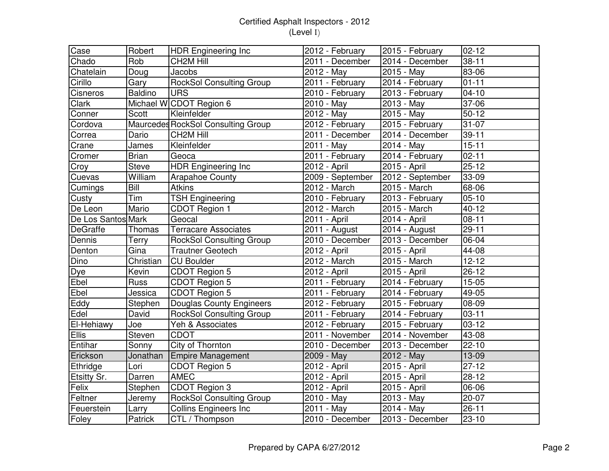| Case               | Robert         | HDR Engineering Inc                | 2012 - February               | 2015 - February  | $02 - 12$ |
|--------------------|----------------|------------------------------------|-------------------------------|------------------|-----------|
| Chado              | Rob            | CH2M Hill                          | 2011 - December               | 2014 - December  | $38 - 11$ |
| Chatelain          | Doug           | Jacobs                             | 2012 - May                    | 2015 - May       | 83-06     |
| Cirillo            | Gary           | <b>RockSol Consulting Group</b>    | 2011 - February               | 2014 - February  | $01 - 11$ |
| Cisneros           | <b>Baldino</b> | <b>URS</b>                         | 2010 - February               | 2013 - February  | $04 - 10$ |
| Clark              |                | Michael W CDOT Region 6            | 2010 - May                    | $2013 - May$     | 37-06     |
| Conner             | Scott          | Kleinfelder                        | 2012 - May                    | 2015 - May       | $50 - 12$ |
| Cordova            |                | Maurcedes RockSol Consulting Group | 2012 - February               | 2015 - February  | 31-07     |
| Correa             | Dario          | CH <sub>2</sub> M Hill             | 2011 - December               | 2014 - December  | $39 - 11$ |
| Crane              | James          | Kleinfelder                        | 2011 - May                    | 2014 - May       | $15 - 11$ |
| Cromer             | <b>Brian</b>   | Geoca                              | 2011 - February               | 2014 - February  | $02 - 11$ |
| Croy               | Steve          | <b>HDR Engineering Inc</b>         | 2012 - April                  | 2015 - April     | $25 - 12$ |
| Cuevas             | William        | <b>Arapahoe County</b>             | 2009 - September              | 2012 - September | 33-09     |
| Cumings            | Bill           | <b>Atkins</b>                      | 2012 - March                  | 2015 - March     | 68-06     |
| Custy              | Tim            | <b>TSH Engineering</b>             | 2010 - February               | 2013 - February  | $05-10$   |
| De Leon            | Mario          | <b>CDOT Region 1</b>               | 2012 - March                  | 2015 - March     | $40 - 12$ |
| De Los Santos Mark |                | Geocal                             | 2011 - April                  | 2014 - April     | $08 - 11$ |
| <b>DeGraffe</b>    | Thomas         | <b>Terracare Associates</b>        | 2011 - August                 | 2014 - August    | $29 - 11$ |
| Dennis             | Terry          | <b>RockSol Consulting Group</b>    | 2010 - December               | 2013 - December  | 06-04     |
| Denton             | Gina           | <b>Trautner Geotech</b>            | 2012 - April                  | 2015 - April     | 44-08     |
| Dino               | Christian      | <b>CU Boulder</b>                  | 2012 - March                  | 2015 - March     | $12 - 12$ |
| Dye                | Kevin          | CDOT Region 5                      | 2012 - April                  | 2015 - April     | $26 - 12$ |
| Ebel               | Russ           | CDOT Region 5                      | 2011 - February               | 2014 - February  | 15-05     |
| Ebel               | Jessica        | CDOT Region 5                      | 2011 - February               | 2014 - February  | 49-05     |
| Eddy               | Stephen        | Douglas County Engineers           | 2012 - February               | 2015 - February  | 08-09     |
| Edel               | David          | <b>RockSol Consulting Group</b>    | 2011 - February               | 2014 - February  | 03-11     |
| El-Hehiawy         | Joe            | Yeh & Associates                   | $\overline{20}$ 12 - February | 2015 - February  | $03 - 12$ |
| Ellis              | Steven         | <b>CDOT</b>                        | $\overline{2011}$ - November  | 2014 - November  | 43-08     |
| Entihar            | Sonny          | City of Thornton                   | 2010 - December               | 2013 - December  | $22 - 10$ |
| Erickson           | Jonathan       | Empire Management                  | 2009 - May                    | 2012 - May       | 13-09     |
| Ethridge           | Lori           | CDOT Region 5                      | 2012 - April                  | 2015 - April     | $27-12$   |
| Etsitty Sr.        | Darren         | <b>AMEC</b>                        | 2012 - April                  | 2015 - April     | $28 - 12$ |
| Felix              | Stephen        | CDOT Region 3                      | 2012 - April                  | 2015 - April     | 06-06     |
| Feltner            | Jeremy         | <b>RockSol Consulting Group</b>    | 2010 - May                    | 2013 - May       | $20 - 07$ |
| Feuerstein         | Larry          | <b>Collins Engineers Inc</b>       | 2011 - May                    | $2014 - May$     | $26 - 11$ |
| Foley              | Patrick        | CTL / Thompson                     | 2010 - December               | 2013 - December  | 23-10     |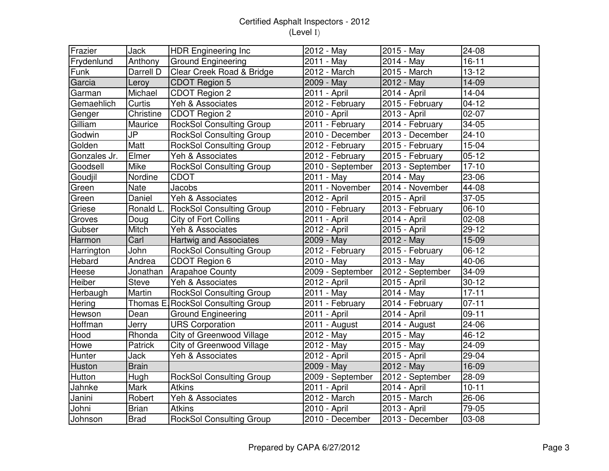| Frazier      | Jack         | <b>HDR Engineering Inc</b>         | 2012 - May       | 2015 - May       | $24 - 08$          |
|--------------|--------------|------------------------------------|------------------|------------------|--------------------|
| Frydenlund   | Anthony      | <b>Ground Engineering</b>          | 2011 - May       | 2014 - May       | $16 - 11$          |
| Funk         | Darrell D    | Clear Creek Road & Bridge          | 2012 - March     | 2015 - March     | $13 - 12$          |
| Garcia       | Leroy        | CDOT Region 5                      | 2009 - May       | 2012 - May       | 14-09              |
| Garman       | Michael      | CDOT Region 2                      | 2011 - April     | $2014 - April$   | $14 - 04$          |
| Gemaehlich   | Curtis       | Yeh & Associates                   | 2012 - February  | 2015 - February  | $04 - 12$          |
| Genger       | Christine    | CDOT Region 2                      | 2010 - April     | 2013 - April     | $02 - 07$          |
| Gilliam      | Maurice      | <b>RockSol Consulting Group</b>    | 2011 - February  | 2014 - February  | 34-05              |
| Godwin       | JP           | <b>RockSol Consulting Group</b>    | 2010 - December  | 2013 - December  | $24 - 10$          |
| Golden       | Matt         | <b>RockSol Consulting Group</b>    | 2012 - February  | 2015 - February  | $15 - 04$          |
| Gonzales Jr. | Elmer        | Yeh & Associates                   | 2012 - February  | 2015 - February  | $05 - 12$          |
| Goodsell     | Mike         | <b>RockSol Consulting Group</b>    | 2010 - September | 2013 - September | $\overline{17-10}$ |
| Goudjil      | Nordine      | <b>CDOT</b>                        | 2011 - May       | 2014 - May       | $\overline{23-06}$ |
| Green        | Nate         | Jacobs                             | 2011 - November  | 2014 - November  | 44-08              |
| Green        | Daniel       | Yeh & Associates                   | 2012 - April     | 2015 - April     | 37-05              |
| Griese       | Ronald L.    | <b>RockSol Consulting Group</b>    | 2010 - February  | 2013 - February  | $06-10$            |
| Groves       | Doug         | City of Fort Collins               | 2011 - April     | 2014 - April     | $02 - 08$          |
| Gubser       | Mitch        | Yeh & Associates                   | 2012 - April     | 2015 - April     | $29 - 12$          |
| Harmon       | Carl         | <b>Hartwig and Associates</b>      | 2009 - May       | 2012 - May       | 15-09              |
| Harrington   | John         | <b>RockSol Consulting Group</b>    | 2012 - February  | 2015 - February  | $06-12$            |
| Hebard       | Andrea       | CDOT Region 6                      | 2010 - May       | 2013 - May       | 40-06              |
| Heese        | Jonathan     | <b>Arapahoe County</b>             | 2009 - September | 2012 - September | 34-09              |
| Heiber       | <b>Steve</b> | Yeh & Associates                   | 2012 - April     | 2015 - April     | $30 - 12$          |
| Herbaugh     | Martin       | <b>RockSol Consulting Group</b>    | 2011 - May       | 2014 - May       | $17 - 11$          |
| Hering       |              | Thomas E. RockSol Consulting Group | 2011 - February  | 2014 - February  | $07 - 11$          |
| Hewson       | Dean         | <b>Ground Engineering</b>          | 2011 - April     | 2014 - April     | $09-11$            |
| Hoffman      | Jerry        | <b>URS Corporation</b>             | 2011 - August    | 2014 - August    | 24-06              |
| Hood         | Rhonda       | City of Greenwood Village          | 2012 - May       | 2015 - May       | 46-12              |
| Howe         | Patrick      | City of Greenwood Village          | 2012 - May       | 2015 - May       | 24-09              |
| Hunter       | Jack         | Yeh & Associates                   | 2012 - April     | $2015 - April$   | 29-04              |
| Huston       | <b>Brain</b> |                                    | 2009 - May       | 2012 - May       | 16-09              |
| Hutton       | Hugh         | <b>RockSol Consulting Group</b>    | 2009 - September | 2012 - September | 28-09              |
| Jahnke       | Mark         | <b>Atkins</b>                      | 2011 - April     | 2014 - April     | $10 - 11$          |
| Janini       | Robert       | Yeh & Associates                   | $2012 - March$   | 2015 - March     | 26-06              |
| Johni        | <b>Brian</b> | <b>Atkins</b>                      | 2010 - April     | 2013 - April     | 79-05              |
| Johnson      | Brad         | <b>RockSol Consulting Group</b>    | 2010 - December  | 2013 - December  | 03-08              |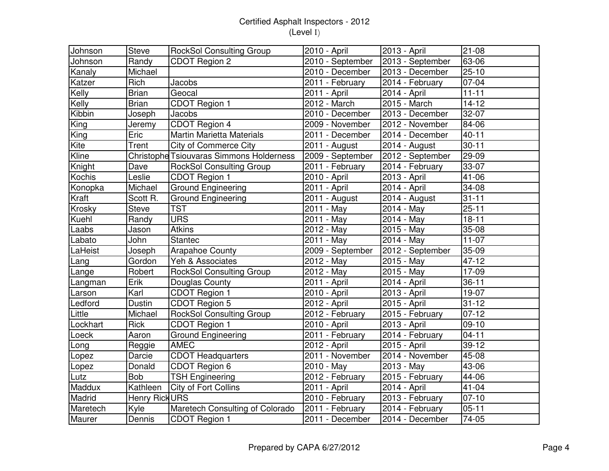| Johnson  | <b>Steve</b>   | <b>RockSol Consulting Group</b>                 | 2010 - April                 | 2013 - April              | $21 - 08$           |
|----------|----------------|-------------------------------------------------|------------------------------|---------------------------|---------------------|
| Johnson  | Randy          | CDOT Region 2                                   | 2010 - September             | 2013 - September          | 63-06               |
| Kanaly   | Michael        |                                                 | $\overline{2010}$ - December | 2013 - December           | $25 - 10$           |
| Katzer   | Rich           | Jacobs                                          | 2011 - February              | 2014 - February           | 07-04               |
| Kelly    | <b>Brian</b>   | Geocal                                          | 2011 - April                 | $\overline{2014}$ - April | $11 - 11$           |
| Kelly    | <b>Brian</b>   | CDOT Region 1                                   | 2012 - March                 | 2015 - March              | $14 - 12$           |
| Kibbin   | Joseph         | Jacobs                                          | 2010 - December              | 2013 - December           | 32-07               |
| King     | Jeremy         | CDOT Region 4                                   | 2009 - November              | 2012 - November           | 84-06               |
| King     | Eric           | <b>Martin Marietta Materials</b>                | 2011 - December              | 2014 - December           | $40 - 11$           |
| Kite     | Trent          | <b>City of Commerce City</b>                    | 2011 - August                | $2014 - August$           | $30 - 11$           |
| Kline    |                | <b>Christophe Tsiouvaras Simmons Holderness</b> | 2009 - September             | 2012 - September          | 29-09               |
| Knight   | Dave           | <b>RockSol Consulting Group</b>                 | 2011 - February              | 2014 - February           | 33-07               |
| Kochis   | Leslie         | CDOT Region 1                                   | 2010 - April                 | 2013 - April              | 41-06               |
| Konopka  | Michael        | Ground Engineering                              | 2011 - April                 | 2014 - April              | 34-08               |
| Kraft    | Scott R.       | <b>Ground Engineering</b>                       | 2011 - August                | 2014 - August             | $31 - 11$           |
| Krosky   | <b>Steve</b>   | <b>TST</b>                                      | 2011 - May                   | 2014 - May                | $25 - 11$           |
| Kuehl    | Randy          | <b>URS</b>                                      | 2011 - May                   | 2014 - May                | $18 - 11$           |
| Laabs    | Jason          | <b>Atkins</b>                                   | 2012 - May                   | 2015 - May                | 35-08               |
| Labato   | John           | <b>Stantec</b>                                  | 2011 - May                   | 2014 - May                | $11-07$             |
| LaHeist  | Joseph         | <b>Arapahoe County</b>                          | 2009 - September             | 2012 - September          | 35-09               |
| Lang     | Gordon         | Yeh & Associates                                | 2012 - May                   | 2015 - May                | 47-12               |
| Lange    | Robert         | <b>RockSol Consulting Group</b>                 | 2012 - May                   | 2015 - May                | 17-09               |
| Langman  | Erik           | Douglas County                                  | 2011 - April                 | $\overline{2014}$ - April | $36 - 11$           |
| Larson   | Karl           | CDOT Region 1                                   | 2010 - April                 | 2013 - April              | 19-07               |
| Ledford  | <b>Dustin</b>  | CDOT Region 5                                   | 2012 - April                 | 2015 - April              | $31 - 12$           |
| Little   | Michael        | <b>RockSol Consulting Group</b>                 | 2012 - February              | 2015 - February           | $07 - 12$           |
| Lockhart | <b>Rick</b>    | CDOT Region 1                                   | 2010 - April                 | 2013 - April              | 09-10               |
| Loeck    | Aaron          | <b>Ground Engineering</b>                       | 2011 - February              | 2014 - February           | $\overline{0}$ 4-11 |
| Long     | Reggie         | <b>AMEC</b>                                     | 2012 - April                 | 2015 - April              | 39-12               |
| Lopez    | <b>Darcie</b>  | <b>CDOT Headquarters</b>                        | 2011 - November              | 2014 - November           | 45-08               |
| Lopez    | Donald         | CDOT Region 6                                   | 2010 - May                   | 2013 - May                | 43-06               |
| Lutz     | Bob            | <b>TSH Engineering</b>                          | 2012 - February              | 2015 - February           | 44-06               |
| Maddux   | Kathleen       | City of Fort Collins                            | 2011 - April                 | 2014 - April              | 41-04               |
| Madrid   | Henry Rick URS |                                                 | 2010 - February              | 2013 - February           | $07 - 10$           |
| Maretech | Kyle           | Maretech Consulting of Colorado                 | 2011 - February              | 2014 - February           | $05 - 11$           |
| Maurer   | Dennis         | CDOT Region 1                                   | 2011 - December              | 2014 - December           | 74-05               |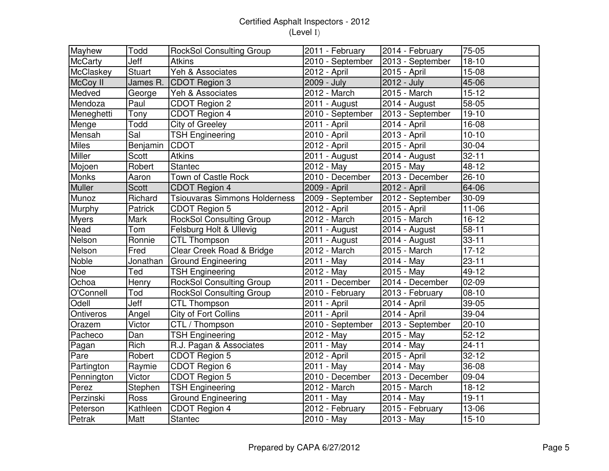| Mayhew         | Todd          | <b>RockSol Consulting Group</b>      | 2011 - February           | 2014 - February  | 75-05     |
|----------------|---------------|--------------------------------------|---------------------------|------------------|-----------|
| <b>McCarty</b> | Jeff          | <b>Atkins</b>                        | 2010 - September          | 2013 - September | $18 - 10$ |
| McClaskey      | <b>Stuart</b> | Yeh & Associates                     | 2012 - April              | 2015 - April     | $15-08$   |
| McCoy II       | James R.      | CDOT Region 3                        | 2009 - July               | 2012 - July      | 45-06     |
| Medved         | George        | Yeh & Associates                     | 2012 - March              | 2015 - March     | $15 - 12$ |
| Mendoza        | Paul          | CDOT Region 2                        | 2011 - August             | 2014 - August    | 58-05     |
| Meneghetti     | Tony          | CDOT Region 4                        | 2010 - September          | 2013 - September | $19 - 10$ |
| Menge          | Todd          | City of Greeley                      | 2011 - April              | 2014 - April     | 16-08     |
| Mensah         | Sal           | <b>TSH Engineering</b>               | 2010 - April              | 2013 - April     | $10 - 10$ |
| <b>Miles</b>   | Benjamin      | <b>CDOT</b>                          | 2012 - April              | 2015 - April     | 30-04     |
| Miller         | Scott         | <b>Atkins</b>                        | 2011 - August             | 2014 - August    | $32 - 11$ |
| Mojoen         | Robert        | Stantec                              | 2012 - May                | $2015 - May$     | 48-12     |
| Monks          | Aaron         | Town of Castle Rock                  | 2010 - December           | 2013 - December  | 26-10     |
| Muller         | Scott         | CDOT Region 4                        | 2009 - April              | 2012 - April     | 64-06     |
| Munoz          | Richard       | <b>Tsiouvaras Simmons Holderness</b> | 2009 - September          | 2012 - September | 30-09     |
| Murphy         | Patrick       | CDOT Region 5                        | 2012 - April              | 2015 - April     | $11 - 06$ |
| <b>Myers</b>   | Mark          | RockSol Consulting Group             | 2012 - March              | 2015 - March     | $16-12$   |
| Nead           | Tom           | Felsburg Holt & Ullevig              | 2011 - August             | 2014 - August    | $58 - 11$ |
| Nelson         | Ronnie        | <b>CTL Thompson</b>                  | 2011 - August             | 2014 - August    | $33 - 11$ |
| Nelson         | Fred          | Clear Creek Road & Bridge            | 2012 - March              | 2015 - March     | $17 - 12$ |
| Noble          | Jonathan      | <b>Ground Engineering</b>            | 2011 - May                | 2014 - May       | $23 - 11$ |
| Noe            | Ted           | <b>TSH Engineering</b>               | 2012 - May                | 2015 - May       | 49-12     |
| Ochoa          | Henry         | <b>RockSol Consulting Group</b>      | 2011 - December           | 2014 - December  | $02 - 09$ |
| O'Connell      | Tod           | <b>RockSol Consulting Group</b>      | $2010$ - February         | 2013 - February  | $08 - 10$ |
| Odell          | Jeff          | <b>CTL Thompson</b>                  | $\overline{2}011 -$ April | 2014 - April     | 39-05     |
| Ontiveros      | Angel         | City of Fort Collins                 | 2011 - April              | 2014 - April     | 39-04     |
| Orazem         | Victor        | CTL / Thompson                       | 2010 - September          | 2013 - September | $20 - 10$ |
| Pacheco        | Dan           | <b>TSH Engineering</b>               | 2012 - May                | $2015 - May$     | $52 - 12$ |
| Pagan          | Rich          | R.J. Pagan & Associates              | 2011 - May                | 2014 - May       | $24 - 11$ |
| Pare           | Robert        | CDOT Region 5                        | 2012 - April              | 2015 - April     | $32 - 12$ |
| Partington     | Raymie        | CDOT Region 6                        | 2011 - May                | 2014 - May       | 36-08     |
| Pennington     | Victor        | CDOT Region 5                        | 2010 - December           | 2013 - December  | 09-04     |
| Perez          | Stephen       | <b>TSH Engineering</b>               | 2012 - March              | 2015 - March     | $18-12$   |
| Perzinski      | Ross          | <b>Ground Engineering</b>            | 2011 - May                | 2014 - May       | $19 - 11$ |
| Peterson       | Kathleen      | CDOT Region 4                        | 2012 - February           | 2015 - February  | 13-06     |
| Petrak         | Matt          | Stantec                              | 2010 - May                | 2013 - May       | $15 - 10$ |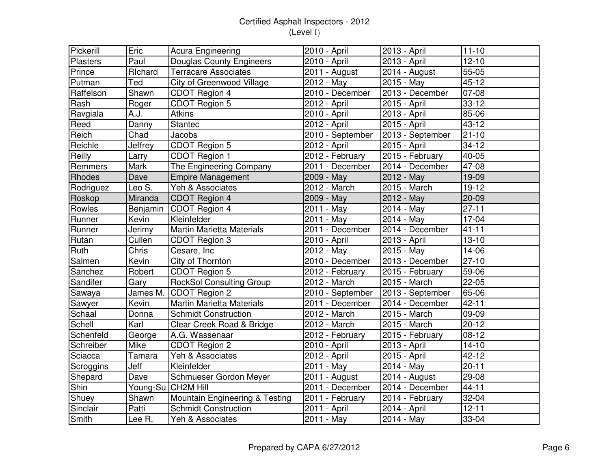| Pickerill       | Eric     | Acura Engineering                | 2010 - April     | 2013 - April     | $11 - 10$ |
|-----------------|----------|----------------------------------|------------------|------------------|-----------|
| <b>Plasters</b> | Paul     | <b>Douglas County Engineers</b>  | 2010 - April     | 2013 - April     | $12 - 10$ |
| Prince          | Richard  | <b>Terracare Associates</b>      | 2011 - August    | 2014 - August    | 55-05     |
| Putman          | Ted      | City of Greenwood Village        | 2012 - May       | 2015 - May       | $45 - 12$ |
| Raffelson       | Shawn    | CDOT Region 4                    | 2010 - December  | 2013 - December  | $07 - 08$ |
| Rash            | Roger    | CDOT Region 5                    | 2012 - April     | 2015 - April     | $33 - 12$ |
| Ravgiala        | A.J.     | <b>Atkins</b>                    | 2010 - April     | 2013 - April     | 85-06     |
| Reed            | Danny    | Stantec                          | 2012 - April     | 2015 - April     | 43-12     |
| Reich           | Chad     | Jacobs                           | 2010 - September | 2013 - September | $21 - 10$ |
| Reichle         | Jeffrey  | CDOT Region 5                    | 2012 - April     | 2015 - April     | $34 - 12$ |
| Reilly          | Larry    | CDOT Region 1                    | 2012 - February  | 2015 - February  | 40-05     |
| Remmers         | Mark     | The Engineering Company          | 2011 - December  | 2014 - December  | 47-08     |
| Rhodes          | Dave     | <b>Empire Management</b>         | 2009 - May       | 2012 - May       | 19-09     |
| Rodriguez       | Leo S.   | Yeh & Associates                 | 2012 - March     | 2015 - March     | $19 - 12$ |
| Roskop          | Miranda  | CDOT Region 4                    | 2009 - May       | 2012 - May       | $20 - 09$ |
| Rowles          | Benjamin | CDOT Region 4                    | 2011 - May       | 2014 - May       | $27 - 11$ |
| Runner          | Kevin    | Kleinfelder                      | 2011 - May       | 2014 - May       | 17-04     |
| Runner          | Jerimy   | <b>Martin Marietta Materials</b> | 2011 - December  | 2014 - December  | $41 - 11$ |
| Rutan           | Cullen   | CDOT Region 3                    | 2010 - April     | 2013 - April     | $13 - 10$ |
| Ruth            | Chris    | Cesare, Inc                      | 2012 - May       | 2015 - May       | 14-06     |
| Salmen          | Kevin    | City of Thornton                 | 2010 - December  | 2013 - December  | $27 - 10$ |
| Sanchez         | Robert   | CDOT Region 5                    | 2012 - February  | 2015 - February  | 59-06     |
| Sandifer        | Gary     | <b>RockSol Consulting Group</b>  | 2012 - March     | 2015 - March     | $22 - 05$ |
| Sawaya          |          | James M. CDOT Region 2           | 2010 - September | 2013 - September | 65-06     |
| Sawyer          | Kevin    | <b>Martin Marietta Materials</b> | 2011 - December  | 2014 - December  | $42 - 11$ |
| Schaal          | Donna    | <b>Schmidt Construction</b>      | 2012 - March     | 2015 - March     | 09-09     |
| Schell          | Karl     | Clear Creek Road & Bridge        | 2012 - March     | 2015 - March     | $20 - 12$ |
| Schenfeld       | George   | A.G. Wassenaar                   | 2012 - February  | 2015 - February  | $08 - 12$ |
| Schreiber       | Mike     | CDOT Region 2                    | 2010 - April     | 2013 - April     | $14 - 10$ |
| Sciacca         | Tamara   | Yeh & Associates                 | 2012 - April     | 2015 - April     | $42 - 12$ |
| Scroggins       | Jeff     | Kleinfelder                      | 2011 - May       | 2014 - May       | $20 - 11$ |
| Shepard         | Dave     | Schmueser Gordon Meyer           | 2011 - August    | 2014 - August    | 29-08     |
| Shin            |          | Young-Su CH2M Hill               | 2011 - December  | 2014 - December  | $44 - 11$ |
| Shuey           | Shawn    | Mountain Engineering & Testing   | 2011 - February  | 2014 - February  | 32-04     |
| Sinclair        | Patti    | <b>Schmidt Construction</b>      | 2011 - April     | 2014 - April     | $12 - 11$ |
| Smith           | Lee R.   | Yeh & Associates                 | 2011 - May       | 2014 - May       | 33-04     |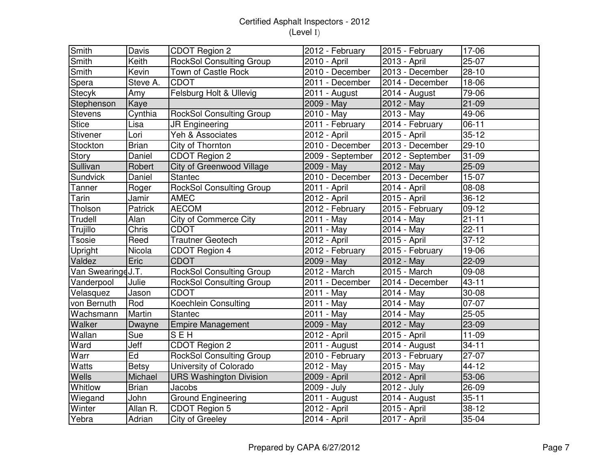| Smith             | Davis         | CDOT Region 2                    | 2012 - February   | 2015 - February  | $17-06$   |
|-------------------|---------------|----------------------------------|-------------------|------------------|-----------|
| Smith             | Keith         | <b>RockSol Consulting Group</b>  | 2010 - April      | 2013 - April     | $25-07$   |
| Smith             | Kevin         | Town of Castle Rock              | 2010 - December   | 2013 - December  | $28 - 10$ |
| Spera             | Steve A.      | <b>CDOT</b>                      | $2011 - December$ | 2014 - December  | 18-06     |
| <b>Stecyk</b>     | Amy           | Felsburg Holt & Ullevig          | 2011 - August     | 2014 - August    | 79-06     |
| Stephenson        | Kaye          |                                  | 2009 - May        | 2012 - May       | $21-09$   |
| <b>Stevens</b>    | Cynthia       | <b>RockSol Consulting Group</b>  | 2010 - May        | $2013 - May$     | 49-06     |
| <b>Stice</b>      | Lisa          | <b>JR Engineering</b>            | 2011 - February   | 2014 - February  | $06 - 11$ |
| Stivener          | Lori          | Yeh & Associates                 | 2012 - April      | 2015 - April     | $35 - 12$ |
| Stockton          | <b>Brian</b>  | City of Thornton                 | 2010 - December   | 2013 - December  | 29-10     |
| Story             | <b>Daniel</b> | CDOT Region 2                    | 2009 - September  | 2012 - September | 31-09     |
| Sullivan          | Robert        | <b>City of Greenwood Village</b> | 2009 - May        | 2012 - May       | $25-09$   |
| Sundvick          | Daniel        | Stantec                          | $2010 - December$ | 2013 - December  | $15-07$   |
| Tanner            | Roger         | <b>RockSol Consulting Group</b>  | 2011 - April      | 2014 - April     | 08-08     |
| Tarin             | Jamir         | <b>AMEC</b>                      | 2012 - April      | 2015 - April     | $36-12$   |
| Tholson           | Patrick       | <b>AECOM</b>                     | 2012 - February   | 2015 - February  | $09-12$   |
| Trudell           | Alan          | <b>City of Commerce City</b>     | 2011 - May        | 2014 - May       | $21 - 11$ |
| Trujillo          | Chris         | <b>CDOT</b>                      | 2011 - May        | 2014 - May       | $22 - 11$ |
| <b>Tsosie</b>     | Reed          | <b>Trautner Geotech</b>          | 2012 - April      | 2015 - April     | $37 - 12$ |
| Upright           | Nicola        | CDOT Region 4                    | 2012 - February   | 2015 - February  | 19-06     |
| Valdez            | Eric          | <b>CDOT</b>                      | 2009 - May        | 2012 - May       | $22 - 09$ |
| Van SwearingeJ.T. |               | <b>RockSol Consulting Group</b>  | $2012 - March$    | 2015 - March     | 09-08     |
| Vanderpool        | Julie         | <b>RockSol Consulting Group</b>  | 2011 - December   | 2014 - December  | $43 - 11$ |
| Velasquez         | Jason         | <b>CDOT</b>                      | 2011 - May        | 2014 - May       | 30-08     |
| von Bernuth       | Rod           | Koechlein Consulting             | 2011 - May        | 2014 - May       | 07-07     |
| Wachsmann         | Martin        | Stantec                          | 2011 - May        | 2014 - May       | $25 - 05$ |
| Walker            | Dwayne        | <b>Empire Management</b>         | 2009 - May        | 2012 - May       | $23 - 09$ |
| Wallan            | Sue           | <b>SEH</b>                       | 2012 - April      | 2015 - April     | $11 - 09$ |
| Ward              | Jeff          | CDOT Region 2                    | 2011 - August     | 2014 - August    | $34 - 11$ |
| Warr              | Ed            | <b>RockSol Consulting Group</b>  | 2010 - February   | 2013 - February  | $27-07$   |
| Watts             | <b>Betsy</b>  | University of Colorado           | 2012 - May        | 2015 - May       | 44-12     |
| Wells             | Michael       | <b>URS Washington Division</b>   | 2009 - April      | 2012 - April     | 53-06     |
| Whitlow           | <b>Brian</b>  | Jacobs                           | 2009 - July       | 2012 - July      | 26-09     |
| Wiegand           | John          | <b>Ground Engineering</b>        | 2011 - August     | 2014 - August    | $35 - 11$ |
| Winter            | Allan R.      | CDOT Region 5                    | 2012 - April      | 2015 - April     | $38 - 12$ |
| Yebra             | Adrian        | City of Greeley                  | 2014 - April      | 2017 - April     | 35-04     |